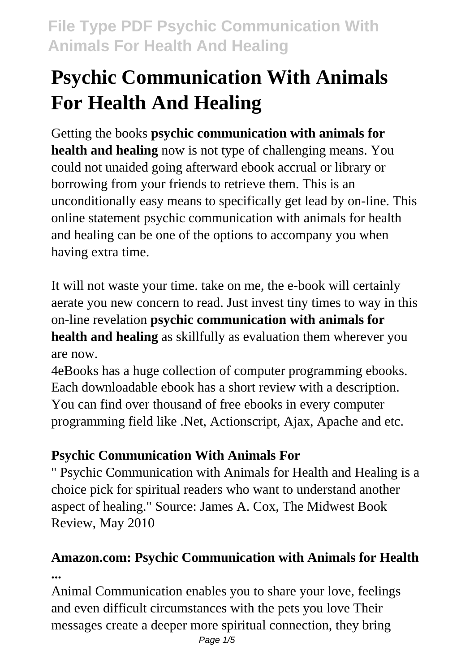# **Psychic Communication With Animals For Health And Healing**

Getting the books **psychic communication with animals for health and healing** now is not type of challenging means. You could not unaided going afterward ebook accrual or library or borrowing from your friends to retrieve them. This is an unconditionally easy means to specifically get lead by on-line. This online statement psychic communication with animals for health and healing can be one of the options to accompany you when having extra time.

It will not waste your time. take on me, the e-book will certainly aerate you new concern to read. Just invest tiny times to way in this on-line revelation **psychic communication with animals for health and healing** as skillfully as evaluation them wherever you are now.

4eBooks has a huge collection of computer programming ebooks. Each downloadable ebook has a short review with a description. You can find over thousand of free ebooks in every computer programming field like .Net, Actionscript, Ajax, Apache and etc.

### **Psychic Communication With Animals For**

" Psychic Communication with Animals for Health and Healing is a choice pick for spiritual readers who want to understand another aspect of healing." Source: James A. Cox, The Midwest Book Review, May 2010

### **Amazon.com: Psychic Communication with Animals for Health ...**

Animal Communication enables you to share your love, feelings and even difficult circumstances with the pets you love Their messages create a deeper more spiritual connection, they bring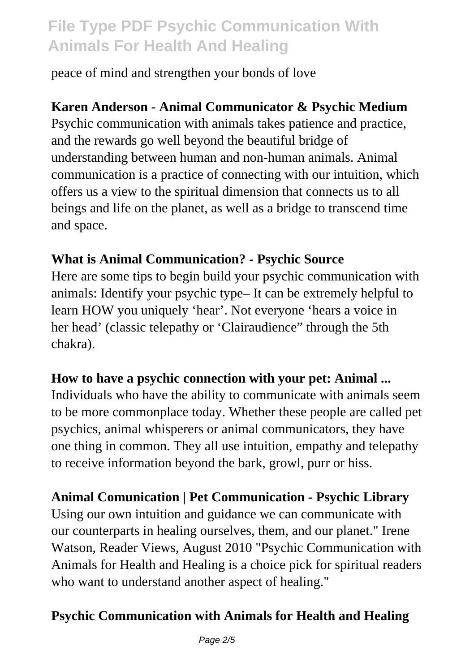peace of mind and strengthen your bonds of love

#### **Karen Anderson - Animal Communicator & Psychic Medium**

Psychic communication with animals takes patience and practice, and the rewards go well beyond the beautiful bridge of understanding between human and non-human animals. Animal communication is a practice of connecting with our intuition, which offers us a view to the spiritual dimension that connects us to all beings and life on the planet, as well as a bridge to transcend time and space.

#### **What is Animal Communication? - Psychic Source**

Here are some tips to begin build your psychic communication with animals: Identify your psychic type– It can be extremely helpful to learn HOW you uniquely 'hear'. Not everyone 'hears a voice in her head' (classic telepathy or 'Clairaudience" through the 5th chakra).

#### **How to have a psychic connection with your pet: Animal ...**

Individuals who have the ability to communicate with animals seem to be more commonplace today. Whether these people are called pet psychics, animal whisperers or animal communicators, they have one thing in common. They all use intuition, empathy and telepathy to receive information beyond the bark, growl, purr or hiss.

#### **Animal Comunication | Pet Communication - Psychic Library**

Using our own intuition and guidance we can communicate with our counterparts in healing ourselves, them, and our planet." Irene Watson, Reader Views, August 2010 "Psychic Communication with Animals for Health and Healing is a choice pick for spiritual readers who want to understand another aspect of healing."

#### **Psychic Communication with Animals for Health and Healing**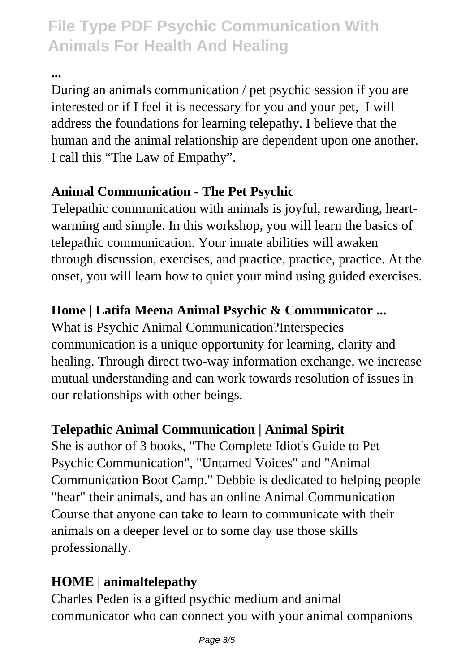**...**

During an animals communication / pet psychic session if you are interested or if I feel it is necessary for you and your pet, I will address the foundations for learning telepathy. I believe that the human and the animal relationship are dependent upon one another. I call this "The Law of Empathy".

#### **Animal Communication - The Pet Psychic**

Telepathic communication with animals is joyful, rewarding, heartwarming and simple. In this workshop, you will learn the basics of telepathic communication. Your innate abilities will awaken through discussion, exercises, and practice, practice, practice. At the onset, you will learn how to quiet your mind using guided exercises.

### **Home | Latifa Meena Animal Psychic & Communicator ...**

What is Psychic Animal Communication?Interspecies communication is a unique opportunity for learning, clarity and healing. Through direct two-way information exchange, we increase mutual understanding and can work towards resolution of issues in our relationships with other beings.

#### **Telepathic Animal Communication | Animal Spirit**

She is author of 3 books, "The Complete Idiot's Guide to Pet Psychic Communication", "Untamed Voices" and "Animal Communication Boot Camp." Debbie is dedicated to helping people "hear" their animals, and has an online Animal Communication Course that anyone can take to learn to communicate with their animals on a deeper level or to some day use those skills professionally.

### **HOME | animaltelepathy**

Charles Peden is a gifted psychic medium and animal communicator who can connect you with your animal companions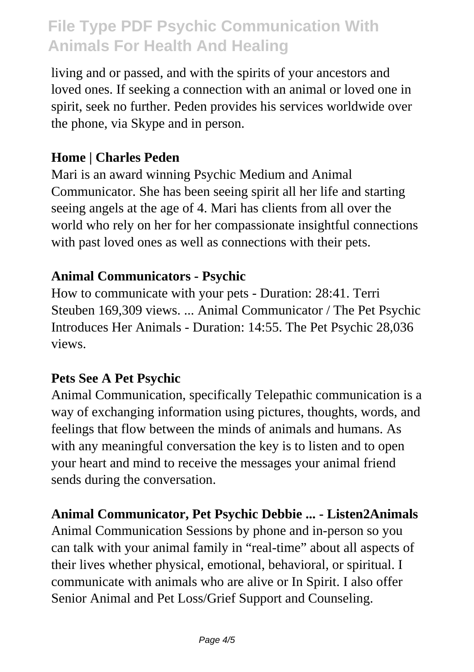living and or passed, and with the spirits of your ancestors and loved ones. If seeking a connection with an animal or loved one in spirit, seek no further. Peden provides his services worldwide over the phone, via Skype and in person.

#### **Home | Charles Peden**

Mari is an award winning Psychic Medium and Animal Communicator. She has been seeing spirit all her life and starting seeing angels at the age of 4. Mari has clients from all over the world who rely on her for her compassionate insightful connections with past loved ones as well as connections with their pets.

#### **Animal Communicators - Psychic**

How to communicate with your pets - Duration: 28:41. Terri Steuben 169,309 views. ... Animal Communicator / The Pet Psychic Introduces Her Animals - Duration: 14:55. The Pet Psychic 28,036 views.

#### **Pets See A Pet Psychic**

Animal Communication, specifically Telepathic communication is a way of exchanging information using pictures, thoughts, words, and feelings that flow between the minds of animals and humans. As with any meaningful conversation the key is to listen and to open your heart and mind to receive the messages your animal friend sends during the conversation.

#### **Animal Communicator, Pet Psychic Debbie ... - Listen2Animals**

Animal Communication Sessions by phone and in-person so you can talk with your animal family in "real-time" about all aspects of their lives whether physical, emotional, behavioral, or spiritual. I communicate with animals who are alive or In Spirit. I also offer Senior Animal and Pet Loss/Grief Support and Counseling.